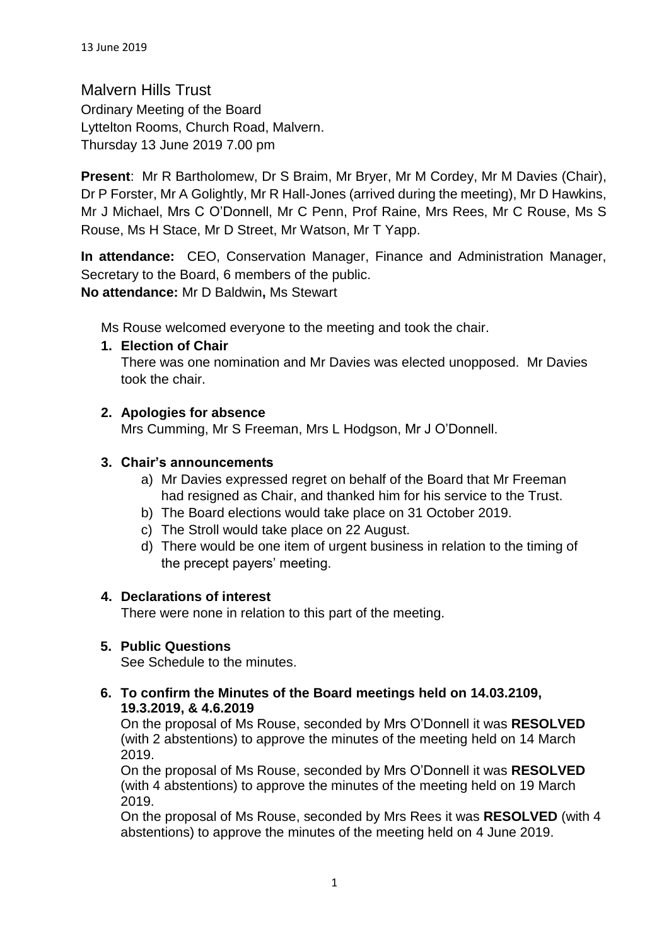Malvern Hills Trust Ordinary Meeting of the Board Lyttelton Rooms, Church Road, Malvern. Thursday 13 June 2019 7.00 pm

**Present**: Mr R Bartholomew, Dr S Braim, Mr Bryer, Mr M Cordey, Mr M Davies (Chair), Dr P Forster, Mr A Golightly, Mr R Hall-Jones (arrived during the meeting), Mr D Hawkins, Mr J Michael, Mrs C O'Donnell, Mr C Penn, Prof Raine, Mrs Rees, Mr C Rouse, Ms S Rouse, Ms H Stace, Mr D Street, Mr Watson, Mr T Yapp.

**In attendance:** CEO, Conservation Manager, Finance and Administration Manager, Secretary to the Board, 6 members of the public. **No attendance:** Mr D Baldwin**,** Ms Stewart

Ms Rouse welcomed everyone to the meeting and took the chair.

# **1. Election of Chair**

There was one nomination and Mr Davies was elected unopposed. Mr Davies took the chair.

# **2. Apologies for absence**

Mrs Cumming, Mr S Freeman, Mrs L Hodgson, Mr J O'Donnell.

# **3. Chair's announcements**

- a) Mr Davies expressed regret on behalf of the Board that Mr Freeman had resigned as Chair, and thanked him for his service to the Trust.
- b) The Board elections would take place on 31 October 2019.
- c) The Stroll would take place on 22 August.
- d) There would be one item of urgent business in relation to the timing of the precept payers' meeting.

#### **4. Declarations of interest**

There were none in relation to this part of the meeting.

#### **5. Public Questions**

See Schedule to the minutes.

# **6. To confirm the Minutes of the Board meetings held on 14.03.2109, 19.3.2019, & 4.6.2019**

On the proposal of Ms Rouse, seconded by Mrs O'Donnell it was **RESOLVED** (with 2 abstentions) to approve the minutes of the meeting held on 14 March 2019.

On the proposal of Ms Rouse, seconded by Mrs O'Donnell it was **RESOLVED**  (with 4 abstentions) to approve the minutes of the meeting held on 19 March 2019.

On the proposal of Ms Rouse, seconded by Mrs Rees it was **RESOLVED** (with 4 abstentions) to approve the minutes of the meeting held on 4 June 2019.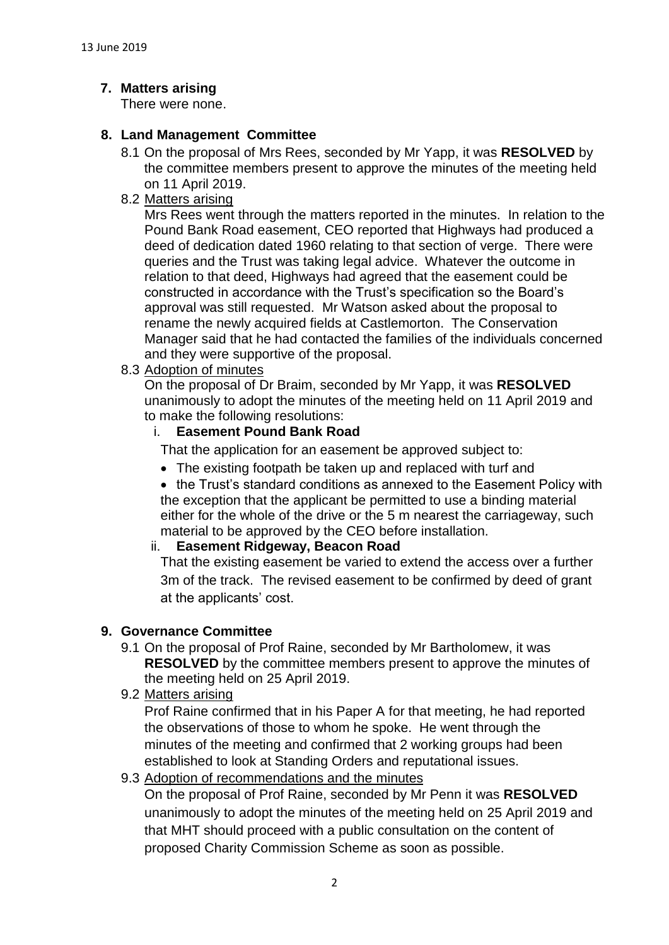# **7. Matters arising**

There were none.

# **8. Land Management Committee**

- 8.1 On the proposal of Mrs Rees, seconded by Mr Yapp, it was **RESOLVED** by the committee members present to approve the minutes of the meeting held on 11 April 2019.
- 8.2 Matters arising

Mrs Rees went through the matters reported in the minutes. In relation to the Pound Bank Road easement, CEO reported that Highways had produced a deed of dedication dated 1960 relating to that section of verge. There were queries and the Trust was taking legal advice. Whatever the outcome in relation to that deed, Highways had agreed that the easement could be constructed in accordance with the Trust's specification so the Board's approval was still requested. Mr Watson asked about the proposal to rename the newly acquired fields at Castlemorton. The Conservation Manager said that he had contacted the families of the individuals concerned and they were supportive of the proposal.

8.3 Adoption of minutes

On the proposal of Dr Braim, seconded by Mr Yapp, it was **RESOLVED** unanimously to adopt the minutes of the meeting held on 11 April 2019 and to make the following resolutions:

#### i. **Easement Pound Bank Road**

- That the application for an easement be approved subject to:
- The existing footpath be taken up and replaced with turf and
- the Trust's standard conditions as annexed to the Easement Policy with the exception that the applicant be permitted to use a binding material either for the whole of the drive or the 5 m nearest the carriageway, such material to be approved by the CEO before installation.

#### ii. **Easement Ridgeway, Beacon Road**

That the existing easement be varied to extend the access over a further 3m of the track. The revised easement to be confirmed by deed of grant at the applicants' cost.

#### **9. Governance Committee**

- 9.1 On the proposal of Prof Raine, seconded by Mr Bartholomew, it was **RESOLVED** by the committee members present to approve the minutes of the meeting held on 25 April 2019.
- 9.2 Matters arising

Prof Raine confirmed that in his Paper A for that meeting, he had reported the observations of those to whom he spoke. He went through the minutes of the meeting and confirmed that 2 working groups had been established to look at Standing Orders and reputational issues.

#### 9.3 Adoption of recommendations and the minutes

On the proposal of Prof Raine, seconded by Mr Penn it was **RESOLVED** unanimously to adopt the minutes of the meeting held on 25 April 2019 and that MHT should proceed with a public consultation on the content of proposed Charity Commission Scheme as soon as possible.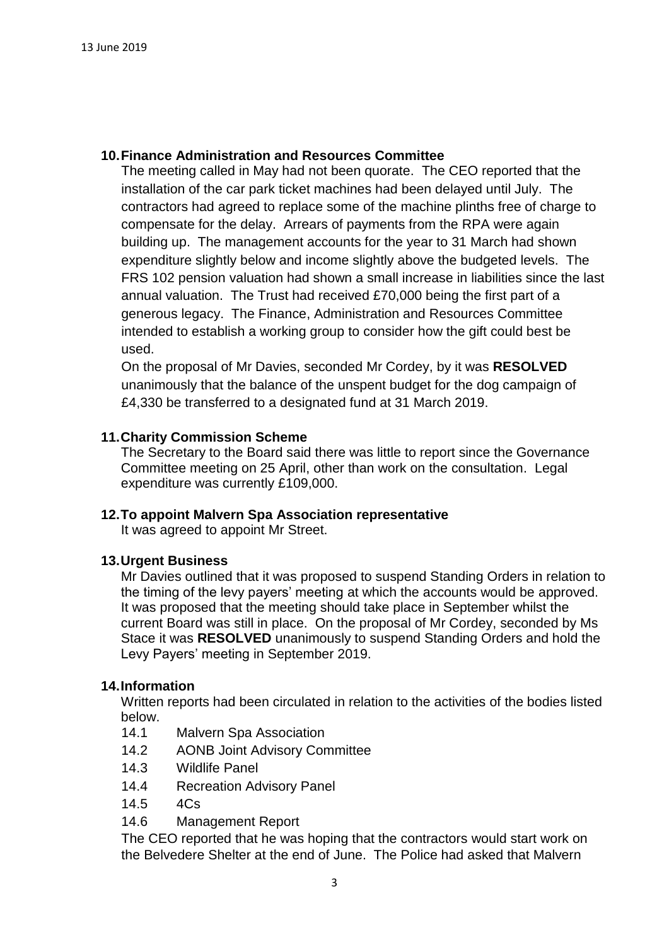# **10.Finance Administration and Resources Committee**

The meeting called in May had not been quorate. The CEO reported that the installation of the car park ticket machines had been delayed until July. The contractors had agreed to replace some of the machine plinths free of charge to compensate for the delay. Arrears of payments from the RPA were again building up. The management accounts for the year to 31 March had shown expenditure slightly below and income slightly above the budgeted levels. The FRS 102 pension valuation had shown a small increase in liabilities since the last annual valuation. The Trust had received £70,000 being the first part of a generous legacy. The Finance, Administration and Resources Committee intended to establish a working group to consider how the gift could best be used.

On the proposal of Mr Davies, seconded Mr Cordey, by it was **RESOLVED** unanimously that the balance of the unspent budget for the dog campaign of £4,330 be transferred to a designated fund at 31 March 2019.

# **11.Charity Commission Scheme**

The Secretary to the Board said there was little to report since the Governance Committee meeting on 25 April, other than work on the consultation. Legal expenditure was currently £109,000.

#### **12.To appoint Malvern Spa Association representative**

It was agreed to appoint Mr Street.

#### **13.Urgent Business**

Mr Davies outlined that it was proposed to suspend Standing Orders in relation to the timing of the levy payers' meeting at which the accounts would be approved. It was proposed that the meeting should take place in September whilst the current Board was still in place. On the proposal of Mr Cordey, seconded by Ms Stace it was **RESOLVED** unanimously to suspend Standing Orders and hold the Levy Payers' meeting in September 2019.

#### **14.Information**

Written reports had been circulated in relation to the activities of the bodies listed below.

- 14.1 Malvern Spa Association
- 14.2 AONB Joint Advisory Committee
- 14.3 Wildlife Panel
- 14.4 Recreation Advisory Panel
- 14.5 4Cs
- 14.6 Management Report

The CEO reported that he was hoping that the contractors would start work on the Belvedere Shelter at the end of June. The Police had asked that Malvern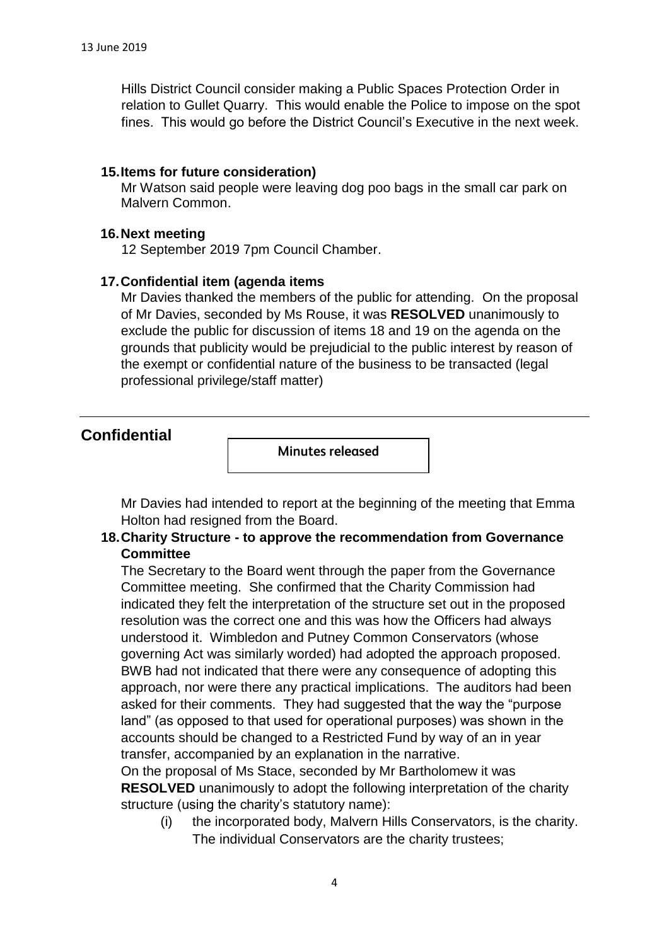Hills District Council consider making a Public Spaces Protection Order in relation to Gullet Quarry. This would enable the Police to impose on the spot fines. This would go before the District Council's Executive in the next week.

### **15.Items for future consideration)**

Mr Watson said people were leaving dog poo bags in the small car park on Malvern Common.

#### **16.Next meeting**

12 September 2019 7pm Council Chamber.

#### **17.Confidential item (agenda items**

Mr Davies thanked the members of the public for attending. On the proposal of Mr Davies, seconded by Ms Rouse, it was **RESOLVED** unanimously to exclude the public for discussion of items 18 and 19 on the agenda on the grounds that publicity would be prejudicial to the public interest by reason of the exempt or confidential nature of the business to be transacted (legal professional privilege/staff matter)

# **Confidential**

Minutes released

Mr Davies had intended to report at the beginning of the meeting that Emma Holton had resigned from the Board.

# **18.Charity Structure - to approve the recommendation from Governance Committee**

The Secretary to the Board went through the paper from the Governance Committee meeting. She confirmed that the Charity Commission had indicated they felt the interpretation of the structure set out in the proposed resolution was the correct one and this was how the Officers had always understood it. Wimbledon and Putney Common Conservators (whose governing Act was similarly worded) had adopted the approach proposed. BWB had not indicated that there were any consequence of adopting this approach, nor were there any practical implications. The auditors had been asked for their comments. They had suggested that the way the "purpose land" (as opposed to that used for operational purposes) was shown in the accounts should be changed to a Restricted Fund by way of an in year transfer, accompanied by an explanation in the narrative.

On the proposal of Ms Stace, seconded by Mr Bartholomew it was **RESOLVED** unanimously to adopt the following interpretation of the charity structure (using the charity's statutory name):

(i) the incorporated body, Malvern Hills Conservators, is the charity. The individual Conservators are the charity trustees;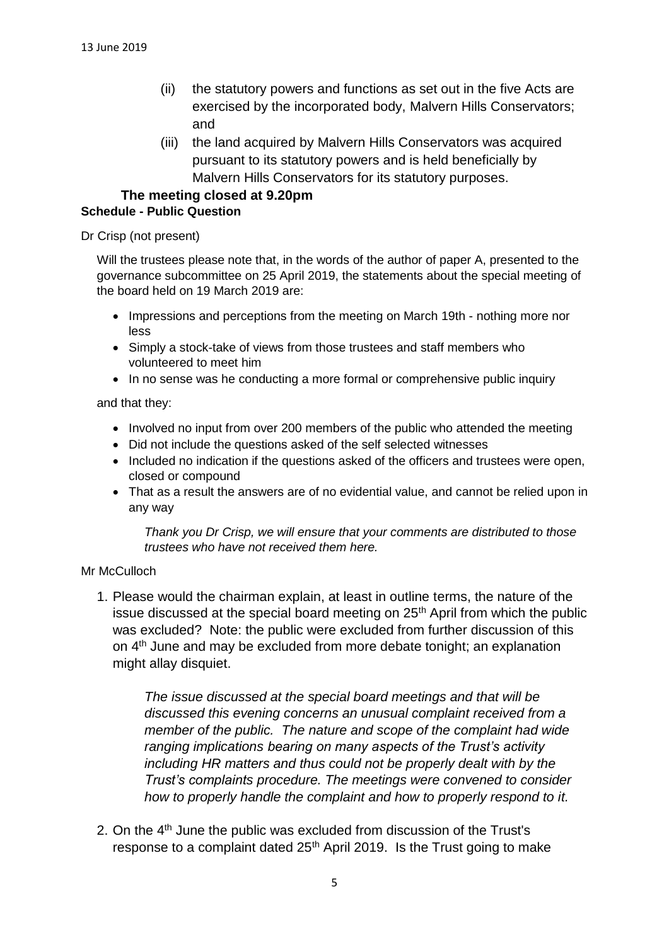- (ii) the statutory powers and functions as set out in the five Acts are exercised by the incorporated body, Malvern Hills Conservators; and
- (iii) the land acquired by Malvern Hills Conservators was acquired pursuant to its statutory powers and is held beneficially by Malvern Hills Conservators for its statutory purposes.

#### **The meeting closed at 9.20pm Schedule - Public Question**

#### Dr Crisp (not present)

Will the trustees please note that, in the words of the author of paper A, presented to the governance subcommittee on 25 April 2019, the statements about the special meeting of the board held on 19 March 2019 are:

- Impressions and perceptions from the meeting on March 19th nothing more nor less
- Simply a stock-take of views from those trustees and staff members who volunteered to meet him
- In no sense was he conducting a more formal or comprehensive public inquiry

and that they:

- Involved no input from over 200 members of the public who attended the meeting
- Did not include the questions asked of the self selected witnesses
- Included no indication if the questions asked of the officers and trustees were open, closed or compound
- That as a result the answers are of no evidential value, and cannot be relied upon in any way

*Thank you Dr Crisp, we will ensure that your comments are distributed to those trustees who have not received them here.*

#### Mr McCulloch

1. Please would the chairman explain, at least in outline terms, the nature of the issue discussed at the special board meeting on  $25<sup>th</sup>$  April from which the public was excluded? Note: the public were excluded from further discussion of this on 4<sup>th</sup> June and may be excluded from more debate tonight; an explanation might allay disquiet.

*The issue discussed at the special board meetings and that will be discussed this evening concerns an unusual complaint received from a member of the public. The nature and scope of the complaint had wide ranging implications bearing on many aspects of the Trust's activity including HR matters and thus could not be properly dealt with by the Trust's complaints procedure. The meetings were convened to consider how to properly handle the complaint and how to properly respond to it.* 

2. On the 4<sup>th</sup> June the public was excluded from discussion of the Trust's response to a complaint dated  $25<sup>th</sup>$  April 2019. Is the Trust going to make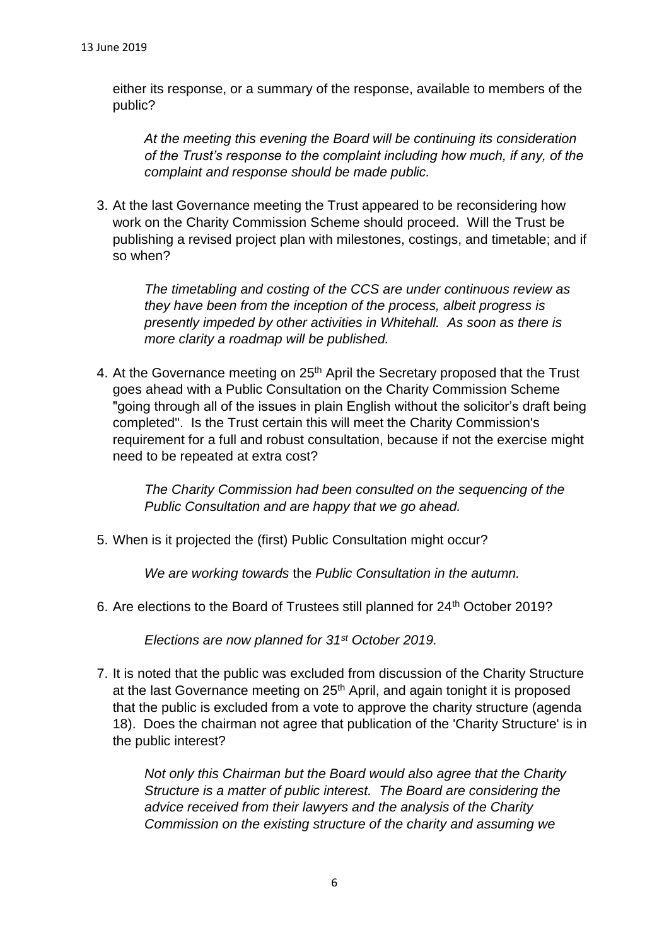either its response, or a summary of the response, available to members of the public?

*At the meeting this evening the Board will be continuing its consideration of the Trust's response to the complaint including how much, if any, of the complaint and response should be made public.*

3. At the last Governance meeting the Trust appeared to be reconsidering how work on the Charity Commission Scheme should proceed. Will the Trust be publishing a revised project plan with milestones, costings, and timetable; and if so when?

*The timetabling and costing of the CCS are under continuous review as they have been from the inception of the process, albeit progress is presently impeded by other activities in Whitehall. As soon as there is more clarity a roadmap will be published.*

4. At the Governance meeting on 25<sup>th</sup> April the Secretary proposed that the Trust goes ahead with a Public Consultation on the Charity Commission Scheme "going through all of the issues in plain English without the solicitor's draft being completed". Is the Trust certain this will meet the Charity Commission's requirement for a full and robust consultation, because if not the exercise might need to be repeated at extra cost?

*The Charity Commission had been consulted on the sequencing of the Public Consultation and are happy that we go ahead.* 

5. When is it projected the (first) Public Consultation might occur?

*We are working towards* the *Public Consultation in the autumn.*

6. Are elections to the Board of Trustees still planned for 24<sup>th</sup> October 2019?

*Elections are now planned for 31st October 2019.*

7. It is noted that the public was excluded from discussion of the Charity Structure at the last Governance meeting on 25<sup>th</sup> April, and again tonight it is proposed that the public is excluded from a vote to approve the charity structure (agenda 18). Does the chairman not agree that publication of the 'Charity Structure' is in the public interest?

*Not only this Chairman but the Board would also agree that the Charity Structure is a matter of public interest. The Board are considering the advice received from their lawyers and the analysis of the Charity Commission on the existing structure of the charity and assuming we*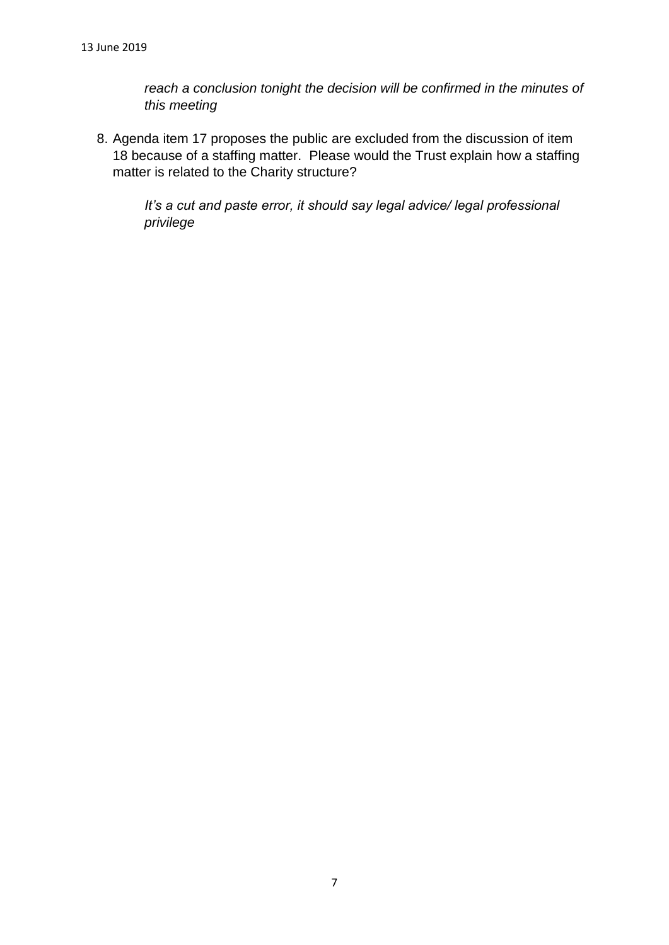*reach a conclusion tonight the decision will be confirmed in the minutes of this meeting*

8. Agenda item 17 proposes the public are excluded from the discussion of item 18 because of a staffing matter. Please would the Trust explain how a staffing matter is related to the Charity structure?

*It's a cut and paste error, it should say legal advice/ legal professional privilege*